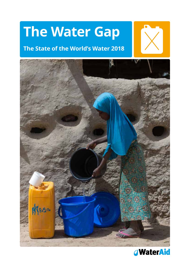# **The Water Gap**

## **The State of the World's Water 2018**





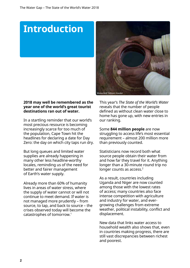# **Introduction**



## **2018 may well be remembered as the year one of the world's great tourist destinations ran out of water.**

In a startling reminder that our world's most precious resource is becoming increasingly scarce for too much of the population, Cape Town hit the headlines for declaring a date for Day Zero: the day on which city taps run dry.

But long queues and limited water supplies are already happening in many other less headline-worthy locales, reminding us of the need for better and fairer management of Earth's water supply.

Already more than 60% of humanity lives in areas of water stress, where the supply of water cannot or will not continue to meet demand. If water is not managed more prudently – from source, to tap, and back to source – the crises observed today will become the catastrophes of tomorrow.1

This year's *The State of the World's Water* reveals that the number of people defined as without clean water close to home has gone up, with new entries in our ranking.

Some **844 million people** are now struggling to access life's most essential requirement – almost 200 million more than previously counted.

Statisticians now record both what source people obtain their water from and how far they travel for it. Anything longer than a 30-minute round trip no longer counts as access.<sup>2</sup>

As a result, countries including Uganda and Niger are now counted among those with the lowest rates of access; many countries also face intense competition with agriculture and industry for water, and evergrowing challenges from extreme weather, political instability, conflict and displacement.

New data that links water access to household wealth also shows that, even in countries making progress, there are still vast discrepancies between richest and poorest.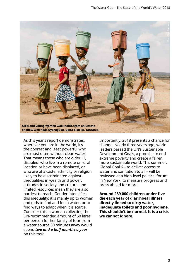

As this year's report demonstrates, wherever you are in the world, it's the poorest and least powerful who are most often without clean water. That means those who are older, ill, disabled, who live in a remote or rural location or have been displaced, or who are of a caste, ethnicity or religion likely to be discriminated against. Inequalities in wealth and power, attitudes in society and culture, and limited resources mean they are also hardest to reach. Gender intensifies this inequality; it is mainly up to women and girls to find and fetch water, or to find ways to adapt when it is scarce. Consider this: a woman collecting the UN-recommended amount of 50 litres per person for her family of four from a water source 30 minutes away would spend *two and a half months a year*  on this task.

Importantly, 2018 presents a chance for change. Nearly three years ago, world leaders passed the UN's Sustainable Development Goals, a promise to end extreme poverty and create a fairer, more sustainable world. This summer, Global Goal 6 – to deliver access to water and sanitation to all – will be reviewed at a high-level political forum in New York, to measure progress and press ahead for more.

**Around 289,000 children under five die each year of diarrhoeal illness directly linked to dirty water, inadequate toilets and poor hygiene. This shouldn't be normal. It is a crisis we cannot ignore.**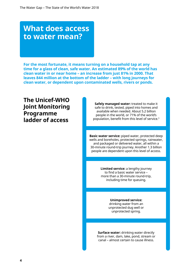# **What does access to water mean?**

**For the most fortunate, it means turning on a household tap at any time for a glass of clean, safe water. An estimated 89% of the world has clean water in or near home – an increase from just 81% in 2000. That leaves 844 million at the bottom of the ladder – with long journeys for clean water, or dependent upon contaminated wells, rivers or ponds.**

**The Unicef-WHO Joint Monitoring Programme ladder of access**

**Safely managed water:** treated to make it safe to drink, tested, piped into homes and available when needed. About 5.2 billion people in the world, or 71% of the world's population, benefit from this level of service.<sup>3</sup>

**Basic water service:** piped water, protected deep wells and boreholes, protected springs, rainwater, and packaged or delivered water, all within a 30-minute round-trip journey. Another 1.3 billion people are dependent upon this level of access.

> **Limited service:** a lengthy journey to find a basic water service – more than a 30-minute round-trip, including time for queuing.

> > **Unimproved service:** drinking water from an unprotected dug well or unprotected spring.

**Surface water:** drinking water directly from a river, dam, lake, pond, stream or canal – almost certain to cause illness.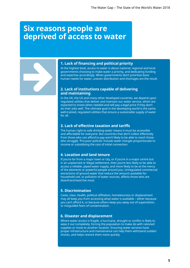## **Six reasons people are deprived of access to water**



#### **1. Lack of financing and political priority**

At the highest level, access to water is about national, regional and local governments choosing to make water a priority, and dedicating funding and expertise accordingly. When governments don't prioritise basic human needs for water, uneven distribution and shortages are the result.

### **2. Lack of institutions capable of delivering and maintaining**

In the UK, the US and many other developed countries, we depend upon regulated utilities that deliver and maintain our water service, which are expected to invest when needed and will pay a legal price if they don't do their jobs well. The ultimate goal in the developing world is the same: well-trained, regulated utilities that ensure a sustainable supply of water for all.

### **3. Lack of effective taxation and tariffs**

The human right to safe drinking water means it must be accessible and affordable for everyone. But countries that don't collect effectively from those who can afford to pay aren't likely to be able to reach those who struggle. 'Pro-poor policies' include water charges proportionate to income or subsidising the cost of initial connection.

#### **4. Location and land tenure**

If you're far from a major town or city, or if you're in a major centre but in an unplanned or illegal settlement, then you're less likely to be able to access a reliable, piped water supply, and more likely to be at the mercy of the elements or powerful people around you. Unregulated commercial extractions of ground water that reduce the amount available for household use, or pollution of water sources, affects those who are disenfranchised the most.

### **5. Discrimination**

Caste, class, health, political affiliation, homelessness or displacement may all keep you from accessing what water is available – either because you can't afford it, or because others keep you away out of superstition, or misguided fears of contamination.

### **6. Disaster and displacement**

Where water access is fragile, a hurricane, drought or conflict is likely to wipe it out completely, forcing the population to make do with rationed supplies or move to another location. Ensuring water services have proper infrastructure and maintenance can help them withstand sudden shocks, and helps restore them more quickly.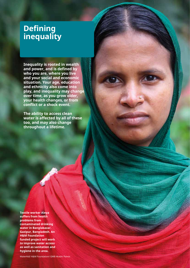# **Defining inequality**

**Inequality is rooted in wealth and power, and is defined by who you are, where you live and your social and economic situation. Your age, education and ethnicity also come into play, and inequality may change over time, as you grow older, your health changes, or from conflict or a shock event.**

**The ability to access clean water is affected by all of these too, and may also change throughout a lifetime.**

**Textile worker Aleya suffers from health problems from contaminated drinking water in Banglabazar, Gazipur, Bangladesh. An H&M Foundation funded project will work to improve water access as well as sanitation and hygiene in the area.**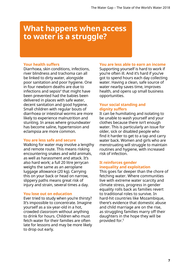## **What happens when access to water is a struggle?**

## **Your health suffers**

Diarrhoea, skin conditions, infections, river blindness and trachoma can all be linked to dirty water, alongside poor sanitation and poor hygiene. One in four newborn deaths are due to infections and sepsis $4$  that might have been prevented had the babies been delivered in places with safe water, decent sanitation and good hygiene. Small children with regular bouts of diarrhoea or intestinal worms are more likely to experience malnutrition and stunting. In areas where groundwater has become saline, hypertension and eclampsia are more common.

### **You are less safe and secure**

Walking for water may involve a lengthy and remote route. This means risking encountering snakes and wild animals, as well as harassment and attack. It's also hard work; a full 20 litre jerrycan weighs the same as an aeroplane luggage allowance (20 kg). Carrying this on your back or head on narrow, slippery paths means great risk of injury and strain, several times a day.

### **You lose out on education**

Ever tried to study when you're thirsty? It's impossible to concentrate. Imagine yourself as a six-year-old in a hot, crowded classroom without anything to drink for hours. Children who must fetch water for their families are often late for lessons and may be more likely to drop out early.

## **You are less able to earn an income**

Supporting yourself is hard to work if you're often ill. And it's hard if you've got to spend hours each day collecting water. Having a clean, safe source of water nearby saves time, improves health, and opens up small business opportunities.

## **Your social standing and dignity suffers**

It can be humiliating and isolating to be unable to wash yourself and your clothes because there isn't enough water. This is particularly an issue for older, sick or disabled people who find it harder to get to a tap and carry water back. Women and girls who are menstruating will struggle to maintain routines and hygiene, with increased risk of infection.

## **It reinforces gender inequality and exploitation**

This goes far deeper than the chore of fetching water. Where communities live with extreme water scarcity and climate stress, progress in gender equality rolls back as families revert to traditional roles to survive. In hard-hit countries like Mozambique, there's evidence that domestic abuse and child marriage are on the rise, as struggling families marry off their daughters in the hope they will be provided for.5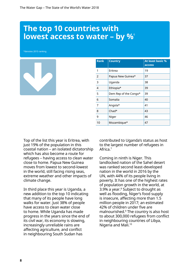## **The top 10 countries with lowest access to water - by %**

\*denotes 2015 ranking

| <b>Rank</b>    | <b>Country</b>        | <b>At least basic %</b><br>access |
|----------------|-----------------------|-----------------------------------|
| 1              | Eritrea               | 19                                |
| $\overline{2}$ | Papua New Guinea*     | 37                                |
| 3              | Uganda                | 38                                |
| 4              | Ethiopia*             | 39                                |
| 5              | Dem Rep of the Congo* | 39                                |
| 6              | Somalia               | 40                                |
| 7              | Angola*               | 41                                |
| 8              | $Chad*$               | 43                                |
| 9              | Niger                 | 46                                |
| 10             | Mozambique*           | 47                                |

Top of the list this year is Eritrea, with just 19% of the population in this coastal nation – an isolated dictatorship which has also become a route for refugees – having access to clean water close to home. Papua New Guinea moves from lowest to second-lowest in the world, still facing rising seas, extreme weather and other impacts of climate change.

In third place this year is Uganda, a new addition to the top 10 indicating that many of its people have long walks for water. Just 38% of people have access to clean water close to home. While Uganda has made progress in the years since the end of its civil war, its economy is slowing, increasingly unreliable rains are affecting agriculture, and conflict in neighbouring South Sudan has

contributed to Uganda's status as host to the largest number of refugees in Africa.7

Coming in ninth is Niger. This landlocked nation of the Sahel desert was ranked second least-developed nation in the world in 2016 by the UN, with 44% of its people living in poverty. It has one of the highest rates of population growth in the world, at 3.9% a year.8 Subject to drought as well as flooding, Niger's food supply is insecure, affecting more than 1.5 million people in 2017; an estimated 42% of children under five are malnourished.9 The country is also host to about 300,000 refugees from conflict in neighbouring countries of Libya, Nigeria and Mali.10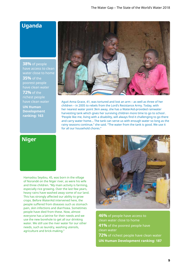## **Uganda**

**38%** of people have access to clean water close to home **35%** of the poorest people **72%** of the richest people

**UN Human Development ranking: 163**



Aguti Anna Grace, 41, was tortured and lost an arm – as well as three of her children – in 2005 to rebels from the Lord's Resistance Army. Today, with her nearest water point 3km away, she has a WaterAid-provided rainwater harvesting tank which gives her surviving children more time to go to school . 'People like me, living with a disability, will always find it challenging to go there and carry water home... The tank can serve us with enough water so long as the rainy seasons continue," she said. "The water from the tank is good. We use it for all our household chores."

## **Niger**

Hamadou Seydou, 45, was born in the village of Norandé on the Niger river, as were his wife and three children. "My main activity is farming, especially rice growing. Over the last few years, heavy rains have washed away some of our land. This has strongly affected our ability to grow crops. Before WaterAid intervened here, the people suffered from diseases such as stomach pain, skin infections and diarrhoea. Sometimes people have died from these. Now, almost everyone has a latrine for their needs and we use the new borehole to get all our drinking water. We still use the river water for our other needs, such as laundry, washing utensils, agriculture and brick-making."



**46%** of people have access to clean water close to home **41%** of the poorest people have clean water **72%** of richest people have clean water **UN Human Development ranking: 187**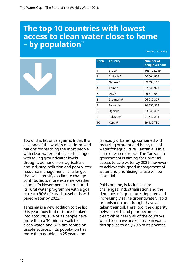# **The top 10 countries with lowest access to clean water close to home - by population**<sup>11</sup>

\*denotes 2015 ranking

|--|

| <b>Rank</b> | <b>Country</b> | <b>Number of</b><br>people without |
|-------------|----------------|------------------------------------|
| 1           | India*         | 163,105,959                        |
| 2           | Ethiopia*      | 60,504,853                         |
| 3           | Nigeria*       | 59,498,110                         |
| 4           | $China*$       | 57,545,973                         |
| 5           | DRC*           | 46,879,641                         |
| 6           | Indonesia*     | 26,982,307                         |
| 7           | Tanzania       | 26,657,528                         |
| 8           | Uganda         | 23,840,407                         |
| 9           | Pakistan*      | 21,640,293                         |
| 10          | Kenya*         | 19,130,780                         |

Top of this list once again is India. It is also one of the world's most-improved nations for reaching the most people with clean water, but faces challenges with falling groundwater levels, drought, demand from agriculture and industry, pollution and poor water resource management – challenges that will intensify as climate change contributes to more extreme weather shocks. In November, it restructured its rural water programme with a goal to reach 90% of rural households with piped water by 2022.12

Tanzania is a new addition to the list this year, now that distance is taken into account; 13% of its people have more than a 30-minute walk for clean water, and 37% are relying on unsafe sources.13 Its population has more than doubled in 25 years and

is rapidly urbanising; combined with recurring drought and heavy use of water for agriculture, Tanzania is in a state of water stress.14 The Tanzanian government is aiming for universal access to safe water by 2025; however, to achieve this, good management of water and prioritising its use will be essential.

Pakistan, too, is facing severe challenges; industrialisation and the demands of agriculture, depleted and increasingly saline groundwater, rapid urbanisation and drought have all taken their toll. Here, too, the disparity between rich and poor becomes clear: while nearly all of the country's wealthiest have access to clean water, this applies to only 79% of its poorest.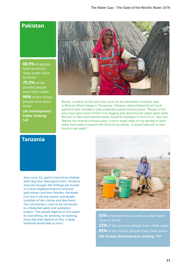## **Pakistan**

**88.5%** of people have access to clean water close to home

**79.2%** of the poorest people have clean water

**98%** of the richest people have clean water

**UN Development Index ranking: 147**

Banno, a mother of five and main carer for her bedridden husband, lives in Bhanani Bheel village in Tharparkar, Pakistan, where WaterAid and local partners have installed a solar-powered reverse osmosis plant. "People in this area have spent most of their lives digging and searching for sweet water wells. We had no idea such plentiful water would be available in front of us," she said. "Before the reverse-osmosis plant, I had to travel miles on my donkey to fetch water from wells to quench the thirst of my family... It would take two to four hours to get water."

## **Tanzania**

Asia Lucas, 62, paid to have three shallow wells dug near Nyarugusu town, Tanzania, and now charges 200 shillings per bucket to a local neighbourhood of artisanal gold miners and their families; the water runs low in the dry season and people complain of skin rashes and diarrheoa. The community is soon to be connected to a WaterAid water and sanitation project. "The people depend on this water for everything, for drinking, for bathing. Every day they depend on this. A deep borehole would help us here."



**50%** of people have access to clean water close to home **22%** of the poorest people have clean water **85%** of the richest people have clean water **UN Human Development ranking: 151**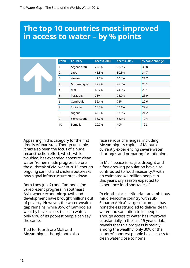# **The top 10 countries most improved in access to water – by % points**

|--|

| <b>Rank</b> | <b>Country</b> | access 2000 | access 2015 | % point change |
|-------------|----------------|-------------|-------------|----------------|
| 1           | Afghanistan    | 27.1%       | 62.9%       | 35.8           |
| 2           | Laos           | 45.8%       | 80.5%       | 34.7           |
| 3           | Yemen          | 42.7%       | 70.4%       | 27.7           |
| 4           | Mozambique     | 22.2%       | 47.3%       | 25.1           |
| 4           | Mali           | 49.2%       | 74.3%       | 25.1           |
| 5           | Paraguay       | 75%         | 98.9%       | 23.9           |
| 6           | Cambodia       | 52.4%       | 75%         | 22.6           |
| 7           | Ethiopia       | 16.7%       | 39.1%       | 22.4           |
| 8           | Nigeria        | 46.1%       | 67.3%       | 21.2           |
| 9           | Sierra Leone   | 38.7%       | 58.1%       | 19.4           |
| 10          | Somalia        | 20.7%       | 40%         | 19.3           |

Appearing in this category for the first time is Afghanistan. Though unstable, it has also been the focus of a huge reconstruction effort, which, while troubled, has expanded access to clean water. Yemen made progress before the outbreak of civil war in 2015, though ongoing conflict and cholera outbreaks now signal infrastructure breakdown.

Both Laos (no. 2) and Cambodia (no. 6) represent progress in southeast Asia, where economic growth and development have brought millions out of poverty. However, the water-wealth gap remains; while 95% of Cambodia's wealthy have access to clean water, only 61% of its poorest people can say the same.

Tied for fourth are Mali and Mozambique, though both also face serious challenges, including Mozambique's capital of Maputo currently experiencing severe water shortages and preparing for rationing.

In Mali, peace is fragile; drought and a fast-growing population have also contributed to food insecurity,<sup>15</sup> with an estimated 4.1 million people in this year's dry season expected to experience food shortages.16

In eighth place is Nigeria – an ambitious middle-income country with sub-Saharan Africa's largest income, it has nonetheless struggled to deliver clean water and sanitation to its people. Though access to water has improved substantially in the last 15 years, data reveals that this progress is mainly among the wealthy; only 30% of the country's poorest people have access to clean water close to home.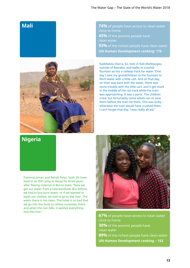## **Mali**



**74%** of people have access to clean water close to home **45%** of the poorest people have clean water **93%** of the richest people have clean water **UN Human Development ranking: 175**

Kadidiatou Diarra, 62, lives in Kati-Malibougou outside of Bamako, and walks to a public fountain across a railway track for water."One day I sent my grandchildren to the fountain to fetch water with a little cart. And on that day, on their way back with the water, there was some trouble with the little cart, and it got stuck in the middle of the rail track while the train was approaching. It was a panic. The children cried, but fortunately some adults ran to save them before the train hit them. This was lucky – otherwise the train would have crushed them. I can't forget that day. I was really afraid."

## **Nigeria**

Patience James and Rahab Peter, both 20, have lived in an IDP camp in Abuja for three years after fleeing violence in Borno state. "Now we get our water from a new borehole. But before, we had to buy pure water, or if we wanted to wash our clothes, we had to go to the river. The water there is not clean. The toilet is so bad that we go into the bush to relieve ourselves there, and when the rain falls, it washes everything into the river."



**67%** of people have access to clean water close to home **30%** of the poorest people have clean water **89%** of the richest people have clean water **UN Human Development ranking – 152**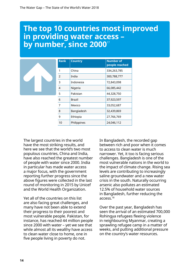# **The top 10 countries most improved in providing water access – by number, since 2000**<sup>17</sup>

| <b>Rank</b>    | <b>Country</b> | <b>Number of</b><br>people reached |
|----------------|----------------|------------------------------------|
| 1              | China          | 334,263,785                        |
| $\mathcal{P}$  | India          | 300,788,777                        |
| 3              | Indonesia      | 72,843,098                         |
| $\overline{4}$ | Nigeria        | 66,085,442                         |
| 5              | Pakistan       | 44,328,750                         |
| 6              | Brazil         | 37,923,597                         |
| 7              | Mexico         | 33,052,687                         |
| 8              | Bangladesh     | 32,439,869                         |
| 9              | Ethiopia       | 27,766,769                         |
| 10             | Philippines    | 24,046,112                         |

The largest countries in the world have the most striking results, and here we see that the world's two most populous countries, China and India, have also reached the greatest number of people with water since 2000. India in particular has made water access a major focus, with the government reporting further progress since the above figures were collected in the last round of monitoring in 2015 by Unicef and the World Health Organization.

Yet all of the countries on this list are also facing great challenges, and many have not been able to extend their progress to their poorest and most vulnerable people. Pakistan, for instance, has reached 44 million people since 2000 with water – yet we see that while almost all its wealthy have access to clean water close to home, one in five people living in poverty do not.

In Bangladesh, the recorded gap between rich and poor when it comes to access to clean water is much narrower. Yet, it too is facing serious challenges. Bangladesh is one of the most vulnerable nations in the world to the impact of climate change. Rising sea levels are contributing to increasingly saline groundwater and a new water crisis in the south. Naturally occurring arsenic also pollutes an estimated 12.5% of household water sources in Bangladesh, further reducing the access.18

Over the past year, Bangladesh has seen the arrival of an estimated 700,000 Rohingya refugees fleeing violence in neighbouring Myanmar, creating a sprawling refugee camp in a matter of weeks, and putting additional pressure on the country's water resources.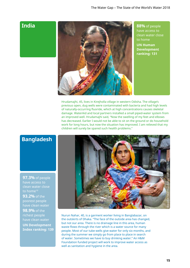## **India**



**88%** of people have access to clean water close to home **UN Human Development ranking: 131**

Hrudamajhi, 45, lives in Kirejholla village in western Odisha. The village's previous open, dug wells were contaminated with bacteria and had high levels of naturally-occurring fluoride, which at high concentrations causes skeletal damage. WaterAid and local partners installed a small piped-water system from an improved well. Hrudamajhi said, "Now the swelling of my feet and elbows has decreased. Earlier I would not be able to sit on the ground or do household work for long hours, but now the situation has improved. I am relieved that my children will surely be spared such health problems."

## **Bangladesh**

**97.3%** of people have access to clean water close to home<sup>19</sup> **93.2%** of the poorest people

**98.9%** of the richest people **UN Development Index ranking: 139**



Nurun Nahar, 40, is a garment worker living in Banglabazar, on the outskirts of Dhaka. "The face of the outside area has changed, but not our area. There is no drainage line in this area, human waste flows through the river which is a water source for many people. Most of our tube wells give water for only six months, and during the summer we simply go from place to place in search of water. Sometimes we have to buy drinking water." An H&M Foundation funded project will work to improve water access as well as sanitation and hygiene in the area.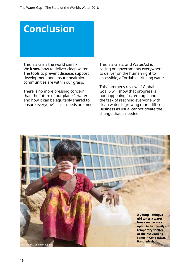# **Conclusion**

This is a crisis the world can fix. We **know** how to deliver clean water. The tools to prevent disease, support development and ensure healthier communities are within our grasp.

There is no more pressing concern than the future of our planet's water and how it can be equitably shared to ensure everyone's basic needs are met. This is a crisis, and WaterAid is calling on governments everywhere to deliver on the human right to accessible, affordable drinking water.

This summer's review of Global Goal 6 will show that progress is not happening fast enough, and the task of reaching everyone with clean water is growing more difficult. Business as usual cannot create the change that is needed.

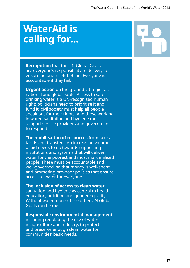# **WaterAid is calling for...**

**Recognition** that the UN Global Goals are everyone's responsibility to deliver, to ensure no one is left behind. Everyone is accountable if they fail.

**Urgent action** on the ground, at regional, national and global scale. Access to safe drinking water is a UN-recognised human right; politicians need to prioritise it and fund it, civil society must help all people speak out for their rights, and those working in water, sanitation and hygiene must support service providers and government to respond.

**The mobilisation of resources** from taxes, tariffs and transfers. An increasing volume of aid needs to go towards supporting institutions and systems that will deliver water for the poorest and most marginalised people. These must be accountable and well-governed, so that money is well-spent, and promoting pro-poor policies that ensure access to water for everyone.

### **The inclusion of access to clean water**,

sanitation and hygiene as central to health, education, nutrition and gender equality. Without water, none of the other UN Global Goals can be met.

## **Responsible environmental management**,

including regulating the use of water in agriculture and industry, to protect and preserve enough clean water for communities' basic needs.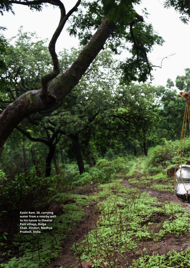**Kashi Ram, 50, carrying water from a nearby well to his house in Sheetal Pani village, Baiga Chak, Dindori, Madhya Pradesh, India.** 

**18**

The State of the State of the State of the State of the State of the State of the State of the State of the World's Water 2018

j.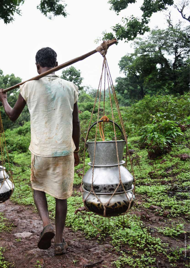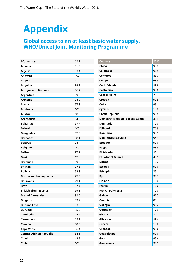# **Appendix**

## **Global access to an at least basic water supply, WHO/Unicef Joint Monitoring Programme**

| Afghanistan                     | 62.9 |
|---------------------------------|------|
| <b>Albania</b>                  | 91.3 |
| <b>Algeria</b>                  | 93.4 |
| <b>Andorra</b>                  | 100  |
| Angola                          | 41   |
| Anguilla                        | 98.2 |
| <b>Antigua and Barbuda</b>      | 96.7 |
| Argentina                       | 99.6 |
| <b>Armenia</b>                  | 98.9 |
| <b>Aruba</b>                    | 97.8 |
| <b>Australia</b>                | 100  |
| <b>Austria</b>                  | 100  |
| Azerbaijan                      | 84.3 |
| <b>Bahamas</b>                  | 97.7 |
| <b>Bahrain</b>                  | 100  |
| <b>Bangladesh</b>               | 97.3 |
| <b>Barbados</b>                 | 98.1 |
| <b>Belarus</b>                  | 98   |
| <b>Belgium</b>                  | 100  |
| <b>Belize</b>                   | 97.1 |
| <b>Benin</b>                    | 67   |
| <b>Bermuda</b>                  | 99.9 |
| <b>Bhutan</b>                   | 97.5 |
| <b>Bolivia</b>                  | 92.8 |
| <b>Bosnia and Herzegovina</b>   | 97.6 |
| <b>Botswana</b>                 | 79.1 |
| <b>Brazil</b>                   | 97.4 |
| <b>British Virgin Islands</b>   | 99.8 |
| <b>Brunei Darussalam</b>        | 99.5 |
| <b>Bulgaria</b>                 | 99.2 |
| <b>Burkina Faso</b>             | 53.8 |
| <b>Burundi</b>                  | 55.9 |
| Cambodia                        | 74.9 |
| Cameroon                        | 65.2 |
| Canada                          | 98.9 |
| <b>Cape Verde</b>               | 86.4 |
| <b>Central African Republic</b> | 54.1 |
| Chad                            | 42.5 |
| Chile                           | 100  |

| <b>Country</b>                          | 2015 |
|-----------------------------------------|------|
| China                                   | 95.8 |
| Colombia                                | 96.5 |
| <b>Comoros</b>                          | 83.7 |
| Congo                                   | 68.3 |
| <b>Cook Islands</b>                     | 99.8 |
| <b>Costa Rica</b>                       | 99.6 |
| <b>Cote d'Ivoire</b>                    | 73   |
| <b>Croatia</b>                          | 99.5 |
| Cuba                                    | 95.1 |
| <b>Cyprus</b>                           | 100  |
| <b>Czech Republic</b>                   | 99.8 |
| <b>Democratic Republic of the Congo</b> | 39.3 |
| <b>Denmark</b>                          | 100  |
| <b>Djibouti</b>                         | 76.9 |
| <b>Dominica</b>                         | 96.5 |
| <b>Dominican Republic</b>               | 94.4 |
| <b>Ecuador</b>                          | 92.6 |
| <b>Egypt</b>                            | 98.3 |
| <b>El Salvador</b>                      | 93   |
| <b>Equatorial Guinea</b>                | 49.5 |
| <b>Eritrea</b>                          | 19.2 |
| <b>Estonia</b>                          | 99.6 |
| <b>Ethiopia</b>                         | 39.1 |
| Fiji                                    | 93.7 |
| <b>Finland</b>                          | 100  |
| <b>France</b>                           | 100  |
| <b>French Polynesia</b>                 | 100  |
| Gabon                                   | 87.5 |
| Gambia                                  | 80   |
| Georgia                                 | 93.2 |
| Germany                                 | 100  |
| Ghana                                   | 77.7 |
| Gibraltar                               | 99.6 |
| Greece                                  | 100  |
| Grenada                                 | 95.6 |
| Guadeloupe                              | 99.6 |
| Guam                                    | 99.6 |
| Guatemala                               | 93.5 |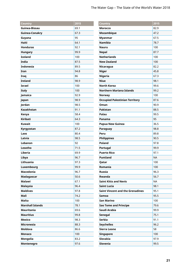| Country                 | 2015 |
|-------------------------|------|
| Guinea-Bissau           | 69.1 |
| <b>Guinea-Conakry</b>   | 67.3 |
| Guyana                  | 95   |
| Haiti                   | 64.1 |
| <b>Honduras</b>         | 92.1 |
| <b>Hungary</b>          | 99.9 |
| <b>Iceland</b>          | 100  |
| <b>India</b>            | 87.5 |
| <b>Indonesia</b>        | 89.5 |
| Iran                    | 94.8 |
| Iraq                    | 86   |
| <b>Ireland</b>          | 98.9 |
| <b>Israel</b>           | 100  |
| <b>Italy</b>            | 100  |
| Jamaica                 | 92.9 |
| Japan                   | 98.9 |
| Jordan                  | 98.5 |
| <b>Kazakhstan</b>       | 91.1 |
| Kenya                   | 58.4 |
| <b>Kiribati</b>         | 64.3 |
| <b>Kuwait</b>           | 100  |
| Kyrgyzstan              | 87.2 |
| Laos                    | 80.4 |
| Latvia                  | 98.5 |
| Lebanon                 | 92   |
| Lesotho                 | 71.5 |
| Liberia                 | 69.9 |
| Libya                   | 96.7 |
| Lithuania               | 97.3 |
| Luxembourg              | 99.9 |
| <b>Macedonia</b>        | 96.7 |
| Madagascar              | 50.6 |
| <b>Malawi</b>           | 67.1 |
| <b>Malaysia</b>         | 96.4 |
| <b>Maldives</b>         | 97.8 |
| Mali                    | 74.2 |
| Malta                   | 100  |
| <b>Marshall Islands</b> | 78.1 |
| <b>Mauritania</b>       | 69.6 |
| <b>Mauritius</b>        | 99.8 |
| <b>Mexico</b>           | 98.3 |
| <b>Micronesia</b>       | 88.3 |
| <b>Moldova</b>          | 86.6 |
| Monaco                  | 100  |
| Mongolia                | 83.2 |
| Montenegro              | 97.6 |

| 2015      |
|-----------|
| 82.9      |
| 47.2      |
| 67.5      |
| 78.7      |
| 100       |
| 87.7      |
| 100       |
| 100       |
| 82.2      |
| 45.8      |
| 67.3      |
| 98.1      |
| 99.6      |
| 99.2      |
| 100       |
| 87.6      |
| 90.9      |
| 88.5      |
| 99.5      |
| 95        |
| 36.5      |
| 98.8      |
| 89.8      |
| 90.5      |
| 97.8      |
| 99.9      |
| 97.1      |
| <b>NA</b> |
| 100       |
| 100       |
| 96.3      |
| 56.7      |
| NA        |
| 98.1      |
| 95.1      |
| 95.5      |
| 100       |
| 79.6      |
| 99.9      |
| 75.1      |
| 91.1      |
| 96.2      |
| 58        |
| 100       |
| 97.9      |
| 99.5      |
|           |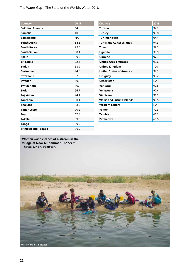The Water Gap – The State of the World's Water 2018

| Country                    | 2015      |
|----------------------------|-----------|
| <b>Solomon Islands</b>     | 64        |
| <b>Somalia</b>             | 40        |
| <b>Somaliland</b>          | <b>NA</b> |
| <b>South Africa</b>        | 84.6      |
| <b>South Korea</b>         | 99.5      |
| <b>South Sudan</b>         | 50.4      |
| <b>Spain</b>               | 99.9      |
| Sri Lanka                  | 92.3      |
| Sudan                      | 58.9      |
| <b>Suriname</b>            | 94.6      |
| <b>Swaziland</b>           | 67.6      |
| Sweden                     | 100       |
| <b>Switzerland</b>         | 100       |
| <b>Syria</b>               | 96.7      |
| <b>Tajikistan</b>          | 74.1      |
| <b>Tanzania</b>            | 50.1      |
| <b>Thailand</b>            | 98.2      |
| <b>Timor-Leste</b>         | 70.2      |
| Togo                       | 62.8      |
| <b>Tokelau</b>             | 99.5      |
| Tonga                      | 99.9      |
| <b>Trinidad and Tobago</b> | 96.9      |

| Country                          | 2015      |
|----------------------------------|-----------|
| Tunisia                          | 94.2      |
| <b>Turkey</b>                    | 98.8      |
| <b>Turkmenistan</b>              | 94.4      |
| <b>Turks and Caicos Islands</b>  | 94.3      |
| Tuvalu                           | 99.2      |
| Uganda                           | 38.9      |
| <b>Ukraine</b>                   | 97.7      |
| <b>United Arab Emirates</b>      | 99.6      |
| <b>United Kingdom</b>            | 100       |
| <b>United States of America</b>  | 99.1      |
| <b>Uruguay</b>                   | 99.2      |
| <b>Uzbekistan</b>                | <b>NA</b> |
| Vanuatu                          | 90.5      |
| Venezuela                        | 97.4      |
| <b>Viet Nam</b>                  | 91.1      |
| <b>Wallis and Futuna Islands</b> | 99.5      |
| Western Sahara                   | <b>NA</b> |
| Yemen                            | 70.3      |
| Zambia                           | 61.2      |
| <b>Zimbabwe</b>                  | 66.5      |

**Women wash clothes at a stream in the village of Noor Muhammad Thaheem, Thatta, Sindh, Pakistan.**

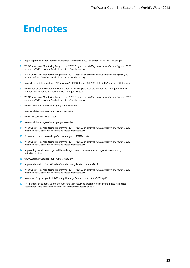# **Endnotes**

- https://openknowledge.worldbank.org/bitstream/handle/10986/28096/9781464811791.pdf p6
- WHO/Unicef Joint Monitoring Programme (2017) *Progress on drinking water, sanitation and hygiene, 2017 update and SDG baselines*. Available at: https://washdata.org
- WHO/Unicef Joint Monitoring Programme (2017) *Progress on drinking water, sanitation and hygiene, 2017 update and SDG baselines*. Available at: https://washdata.org
- www.childmortality.org/files\_v21/download/IGME%20report%202017%20child%20mortality%20final.pdf
- www.open.ac.uk/technology/mozambique/sites/www.open.ac.uk.technology.mozambique/files/files/ Women\_and\_drought\_in\_southern\_Mozambique-2016.pdf
- WHO/Unicef Joint Monitoring Programme (2017) *Progress on drinking water, sanitation and hygiene, 2017 update and SDG baselines*. Available at: https://washdata.org
- www.worldbank.org/en/country/uganda/overview#2
- www.worldbank.org/en/country/niger/overview
- www1.wfp.org/countries/niger
- www.worldbank.org/en/country/niger/overview
- WHO/Unicef Joint Monitoring Programme (2017) *Progress on drinking water, sanitation and hygiene, 2017 update and SDG baselines*. Available at: https://washdata.org
- For more information see http://indiawater.gov.in/IMISReports
- WHO/Unicef Joint Monitoring Programme (2017) *Progress on drinking water, sanitation and hygiene, 2017 update and SDG baselines*. Available at: https://washdata.org
- https://blogs.worldbank.org/nasikiliza/raising-the-watermark-in-tanzanias-growth-and-povertyreduction-picture
- www.worldbank.org/en/country/mali/overview
- https://reliefweb.int/report/mali/wfp-mali-country-brief-november-2017
- WHO/Unicef Joint Monitoring Programme (2017) *Progress on drinking water, sanitation and hygiene, 2017 update and SDG baselines*. Available at: https://washdata.org
- www.unicef.org/bangladesh/MICS\_Key\_Findings\_Report\_revised\_05-08-2015.pdf
- 19 This number does not take into account naturally occurring arsenic which current measures do not account for – this reduces the number of households' access to 85%.